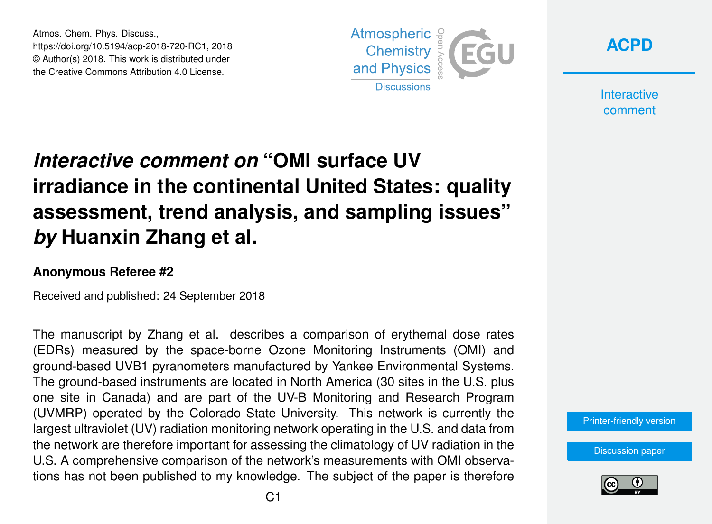Atmos. Chem. Phys. Discuss., https://doi.org/10.5194/acp-2018-720-RC1, 2018 © Author(s) 2018. This work is distributed under the Creative Commons Attribution 4.0 License.





**Interactive** comment

# *Interactive comment on* **"OMI surface UV irradiance in the continental United States: quality assessment, trend analysis, and sampling issues"** *by* **Huanxin Zhang et al.**

#### **Anonymous Referee #2**

Received and published: 24 September 2018

The manuscript by Zhang et al. describes a comparison of erythemal dose rates (EDRs) measured by the space-borne Ozone Monitoring Instruments (OMI) and ground-based UVB1 pyranometers manufactured by Yankee Environmental Systems. The ground-based instruments are located in North America (30 sites in the U.S. plus one site in Canada) and are part of the UV-B Monitoring and Research Program (UVMRP) operated by the Colorado State University. This network is currently the largest ultraviolet (UV) radiation monitoring network operating in the U.S. and data from the network are therefore important for assessing the climatology of UV radiation in the U.S. A comprehensive comparison of the network's measurements with OMI observations has not been published to my knowledge. The subject of the paper is therefore

[Printer-friendly version](https://www.atmos-chem-phys-discuss.net/acp-2018-720/acp-2018-720-RC1-print.pdf)

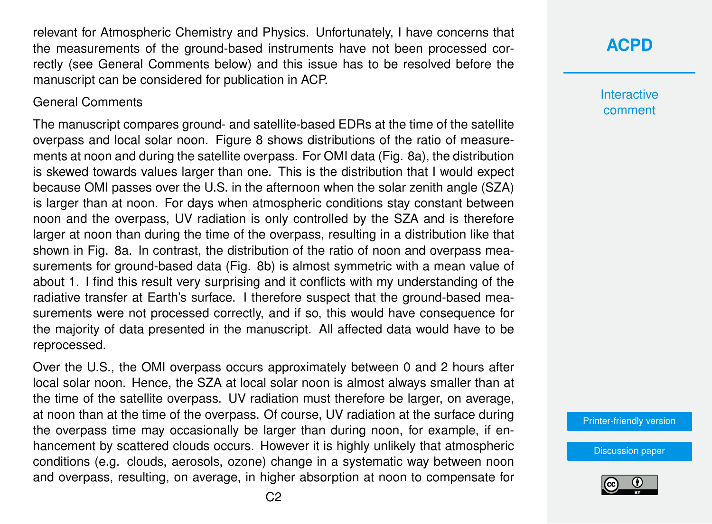relevant for Atmospheric Chemistry and Physics. Unfortunately, I have concerns that the measurements of the ground-based instruments have not been processed correctly (see General Comments below) and this issue has to be resolved before the manuscript can be considered for publication in ACP.

#### General Comments

The manuscript compares ground- and satellite-based EDRs at the time of the satellite overpass and local solar noon. Figure 8 shows distributions of the ratio of measurements at noon and during the satellite overpass. For OMI data (Fig. 8a), the distribution is skewed towards values larger than one. This is the distribution that I would expect because OMI passes over the U.S. in the afternoon when the solar zenith angle (SZA) is larger than at noon. For days when atmospheric conditions stay constant between noon and the overpass, UV radiation is only controlled by the SZA and is therefore larger at noon than during the time of the overpass, resulting in a distribution like that shown in Fig. 8a. In contrast, the distribution of the ratio of noon and overpass measurements for ground-based data (Fig. 8b) is almost symmetric with a mean value of about 1. I find this result very surprising and it conflicts with my understanding of the radiative transfer at Earth's surface. I therefore suspect that the ground-based measurements were not processed correctly, and if so, this would have consequence for the majority of data presented in the manuscript. All affected data would have to be reprocessed.

Over the U.S., the OMI overpass occurs approximately between 0 and 2 hours after local solar noon. Hence, the SZA at local solar noon is almost always smaller than at the time of the satellite overpass. UV radiation must therefore be larger, on average, at noon than at the time of the overpass. Of course, UV radiation at the surface during the overpass time may occasionally be larger than during noon, for example, if enhancement by scattered clouds occurs. However it is highly unlikely that atmospheric conditions (e.g. clouds, aerosols, ozone) change in a systematic way between noon and overpass, resulting, on average, in higher absorption at noon to compensate for

#### **[ACPD](https://www.atmos-chem-phys-discuss.net/)**

**Interactive** comment

[Printer-friendly version](https://www.atmos-chem-phys-discuss.net/acp-2018-720/acp-2018-720-RC1-print.pdf)

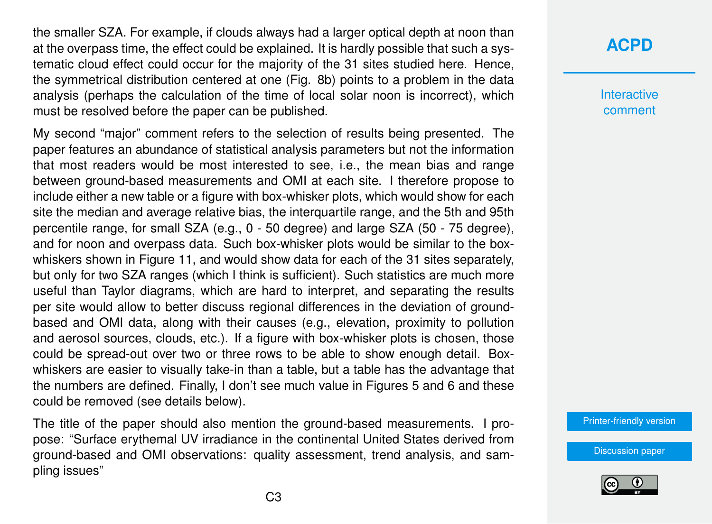the smaller SZA. For example, if clouds always had a larger optical depth at noon than at the overpass time, the effect could be explained. It is hardly possible that such a systematic cloud effect could occur for the majority of the 31 sites studied here. Hence, the symmetrical distribution centered at one (Fig. 8b) points to a problem in the data analysis (perhaps the calculation of the time of local solar noon is incorrect), which must be resolved before the paper can be published.

My second "major" comment refers to the selection of results being presented. The paper features an abundance of statistical analysis parameters but not the information that most readers would be most interested to see, i.e., the mean bias and range between ground-based measurements and OMI at each site. I therefore propose to include either a new table or a figure with box-whisker plots, which would show for each site the median and average relative bias, the interquartile range, and the 5th and 95th percentile range, for small SZA (e.g., 0 - 50 degree) and large SZA (50 - 75 degree), and for noon and overpass data. Such box-whisker plots would be similar to the boxwhiskers shown in Figure 11, and would show data for each of the 31 sites separately, but only for two SZA ranges (which I think is sufficient). Such statistics are much more useful than Taylor diagrams, which are hard to interpret, and separating the results per site would allow to better discuss regional differences in the deviation of groundbased and OMI data, along with their causes (e.g., elevation, proximity to pollution and aerosol sources, clouds, etc.). If a figure with box-whisker plots is chosen, those could be spread-out over two or three rows to be able to show enough detail. Boxwhiskers are easier to visually take-in than a table, but a table has the advantage that the numbers are defined. Finally, I don't see much value in Figures 5 and 6 and these could be removed (see details below).

The title of the paper should also mention the ground-based measurements. I propose: "Surface erythemal UV irradiance in the continental United States derived from ground-based and OMI observations: quality assessment, trend analysis, and sampling issues"

### **[ACPD](https://www.atmos-chem-phys-discuss.net/)**

**Interactive** comment

[Printer-friendly version](https://www.atmos-chem-phys-discuss.net/acp-2018-720/acp-2018-720-RC1-print.pdf)

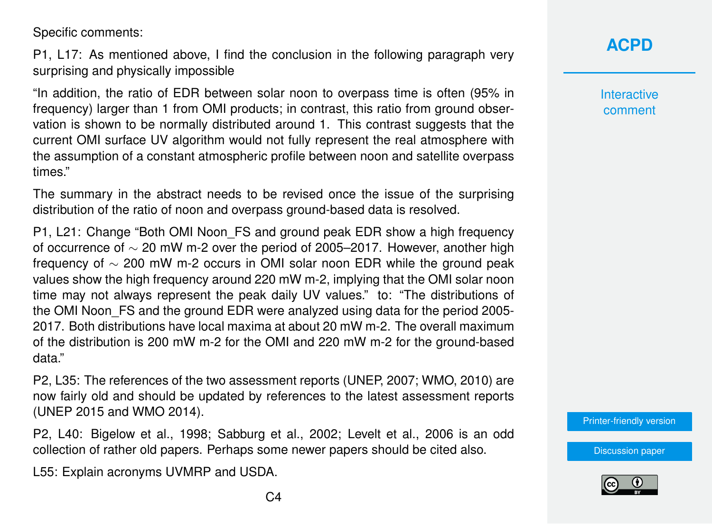Specific comments:

P1, L17: As mentioned above, I find the conclusion in the following paragraph very surprising and physically impossible

"In addition, the ratio of EDR between solar noon to overpass time is often (95% in frequency) larger than 1 from OMI products; in contrast, this ratio from ground observation is shown to be normally distributed around 1. This contrast suggests that the current OMI surface UV algorithm would not fully represent the real atmosphere with the assumption of a constant atmospheric profile between noon and satellite overpass times."

The summary in the abstract needs to be revised once the issue of the surprising distribution of the ratio of noon and overpass ground-based data is resolved.

P1, L21: Change "Both OMI Noon\_FS and ground peak EDR show a high frequency of occurrence of ∼ 20 mW m-2 over the period of 2005–2017. However, another high frequency of ∼ 200 mW m-2 occurs in OMI solar noon EDR while the ground peak values show the high frequency around 220 mW m-2, implying that the OMI solar noon time may not always represent the peak daily UV values." to: "The distributions of the OMI Noon FS and the ground EDR were analyzed using data for the period 2005-2017. Both distributions have local maxima at about 20 mW m-2. The overall maximum of the distribution is 200 mW m-2 for the OMI and 220 mW m-2 for the ground-based data."

P2, L35: The references of the two assessment reports (UNEP, 2007; WMO, 2010) are now fairly old and should be updated by references to the latest assessment reports (UNEP 2015 and WMO 2014).

P2, L40: Bigelow et al., 1998; Sabburg et al., 2002; Levelt et al., 2006 is an odd collection of rather old papers. Perhaps some newer papers should be cited also.

L55: Explain acronyms UVMRP and USDA.

**Interactive** comment

[Printer-friendly version](https://www.atmos-chem-phys-discuss.net/acp-2018-720/acp-2018-720-RC1-print.pdf)

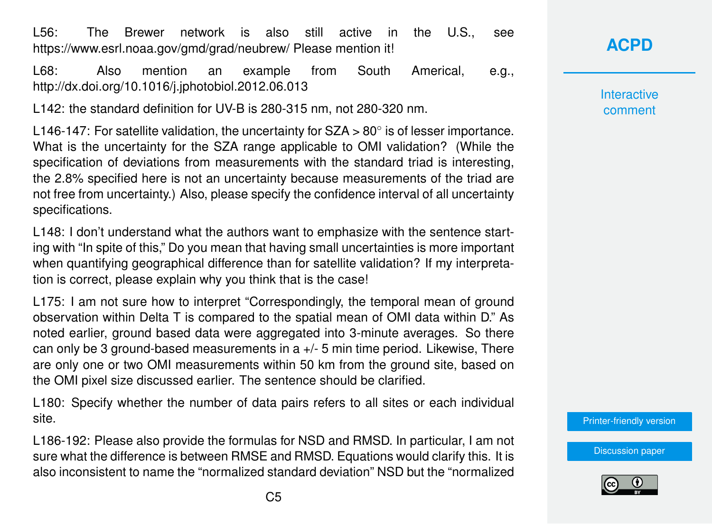L56: The Brewer network is also still active in the U.S., see https://www.esrl.noaa.gov/gmd/grad/neubrew/ Please mention it!

L68: Also mention an example from South Americal, e.g., http://dx.doi.org/10.1016/j.jphotobiol.2012.06.013

L142: the standard definition for UV-B is 280-315 nm, not 280-320 nm.

L146-147: For satellite validation, the uncertainty for  $SZA > 80^\circ$  is of lesser importance. What is the uncertainty for the SZA range applicable to OMI validation? (While the specification of deviations from measurements with the standard triad is interesting, the 2.8% specified here is not an uncertainty because measurements of the triad are not free from uncertainty.) Also, please specify the confidence interval of all uncertainty specifications.

L148: I don't understand what the authors want to emphasize with the sentence starting with "In spite of this," Do you mean that having small uncertainties is more important when quantifying geographical difference than for satellite validation? If my interpretation is correct, please explain why you think that is the case!

L175: I am not sure how to interpret "Correspondingly, the temporal mean of ground observation within Delta T is compared to the spatial mean of OMI data within D." As noted earlier, ground based data were aggregated into 3-minute averages. So there can only be 3 ground-based measurements in a  $+/-$  5 min time period. Likewise, There are only one or two OMI measurements within 50 km from the ground site, based on the OMI pixel size discussed earlier. The sentence should be clarified.

L180: Specify whether the number of data pairs refers to all sites or each individual site.

L186-192: Please also provide the formulas for NSD and RMSD. In particular, I am not sure what the difference is between RMSE and RMSD. Equations would clarify this. It is also inconsistent to name the "normalized standard deviation" NSD but the "normalized

**[ACPD](https://www.atmos-chem-phys-discuss.net/)**

**Interactive** comment

[Printer-friendly version](https://www.atmos-chem-phys-discuss.net/acp-2018-720/acp-2018-720-RC1-print.pdf)

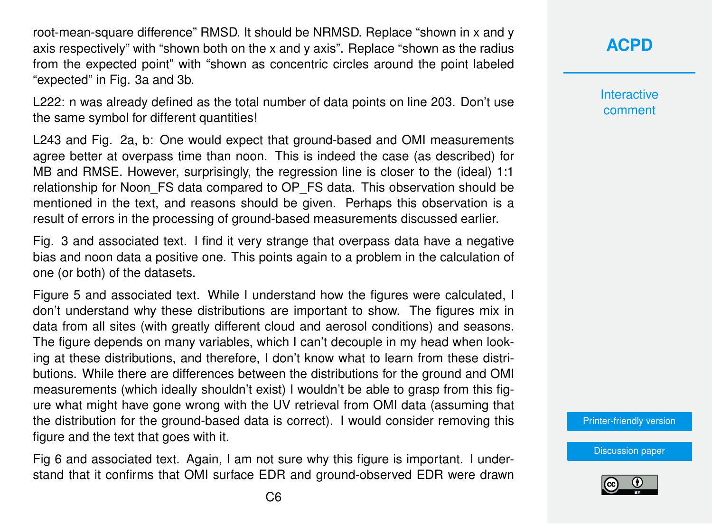root-mean-square difference" RMSD. It should be NRMSD. Replace "shown in x and y axis respectively" with "shown both on the x and y axis". Replace "shown as the radius from the expected point" with "shown as concentric circles around the point labeled "expected" in Fig. 3a and 3b.

L222: n was already defined as the total number of data points on line 203. Don't use the same symbol for different quantities!

L243 and Fig. 2a, b: One would expect that ground-based and OMI measurements agree better at overpass time than noon. This is indeed the case (as described) for MB and RMSE. However, surprisingly, the regression line is closer to the (ideal) 1:1 relationship for Noon\_FS data compared to OP\_FS data. This observation should be mentioned in the text, and reasons should be given. Perhaps this observation is a result of errors in the processing of ground-based measurements discussed earlier.

Fig. 3 and associated text. I find it very strange that overpass data have a negative bias and noon data a positive one. This points again to a problem in the calculation of one (or both) of the datasets.

Figure 5 and associated text. While I understand how the figures were calculated, I don't understand why these distributions are important to show. The figures mix in data from all sites (with greatly different cloud and aerosol conditions) and seasons. The figure depends on many variables, which I can't decouple in my head when looking at these distributions, and therefore, I don't know what to learn from these distributions. While there are differences between the distributions for the ground and OMI measurements (which ideally shouldn't exist) I wouldn't be able to grasp from this figure what might have gone wrong with the UV retrieval from OMI data (assuming that the distribution for the ground-based data is correct). I would consider removing this figure and the text that goes with it.

Fig 6 and associated text. Again, I am not sure why this figure is important. I understand that it confirms that OMI surface EDR and ground-observed EDR were drawn **[ACPD](https://www.atmos-chem-phys-discuss.net/)**

**Interactive** comment

[Printer-friendly version](https://www.atmos-chem-phys-discuss.net/acp-2018-720/acp-2018-720-RC1-print.pdf)

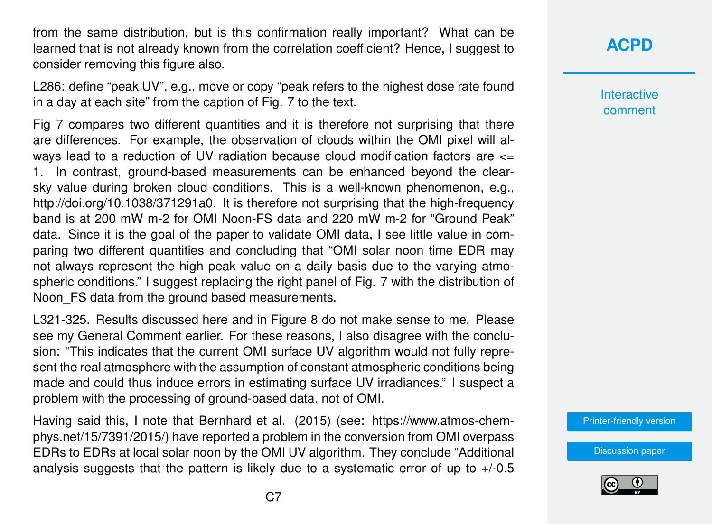from the same distribution, but is this confirmation really important? What can be learned that is not already known from the correlation coefficient? Hence, I suggest to consider removing this figure also.

L286: define "peak UV", e.g., move or copy "peak refers to the highest dose rate found in a day at each site" from the caption of Fig. 7 to the text.

Fig 7 compares two different quantities and it is therefore not surprising that there are differences. For example, the observation of clouds within the OMI pixel will always lead to a reduction of UV radiation because cloud modification factors are <= 1. In contrast, ground-based measurements can be enhanced beyond the clearsky value during broken cloud conditions. This is a well-known phenomenon, e.g., http://doi.org/10.1038/371291a0. It is therefore not surprising that the high-frequency band is at 200 mW m-2 for OMI Noon-FS data and 220 mW m-2 for "Ground Peak" data. Since it is the goal of the paper to validate OMI data, I see little value in comparing two different quantities and concluding that "OMI solar noon time EDR may not always represent the high peak value on a daily basis due to the varying atmospheric conditions." I suggest replacing the right panel of Fig. 7 with the distribution of Noon FS data from the ground based measurements.

L321-325. Results discussed here and in Figure 8 do not make sense to me. Please see my General Comment earlier. For these reasons, I also disagree with the conclusion: "This indicates that the current OMI surface UV algorithm would not fully represent the real atmosphere with the assumption of constant atmospheric conditions being made and could thus induce errors in estimating surface UV irradiances." I suspect a problem with the processing of ground-based data, not of OMI.

Having said this, I note that Bernhard et al. (2015) (see: https://www.atmos-chemphys.net/15/7391/2015/) have reported a problem in the conversion from OMI overpass EDRs to EDRs at local solar noon by the OMI UV algorithm. They conclude "Additional analysis suggests that the pattern is likely due to a systematic error of up to  $+/-0.5$ 

## **[ACPD](https://www.atmos-chem-phys-discuss.net/)**

**Interactive** comment

[Printer-friendly version](https://www.atmos-chem-phys-discuss.net/acp-2018-720/acp-2018-720-RC1-print.pdf)

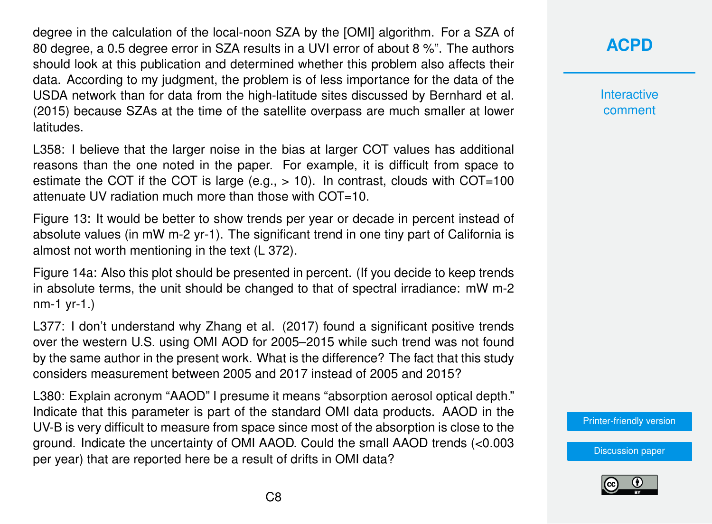degree in the calculation of the local-noon SZA by the [OMI] algorithm. For a SZA of 80 degree, a 0.5 degree error in SZA results in a UVI error of about 8 %". The authors should look at this publication and determined whether this problem also affects their data. According to my judgment, the problem is of less importance for the data of the USDA network than for data from the high-latitude sites discussed by Bernhard et al. (2015) because SZAs at the time of the satellite overpass are much smaller at lower latitudes.

L358: I believe that the larger noise in the bias at larger COT values has additional reasons than the one noted in the paper. For example, it is difficult from space to estimate the COT if the COT is large (e.g.,  $> 10$ ). In contrast, clouds with COT=100 attenuate UV radiation much more than those with COT=10.

Figure 13: It would be better to show trends per year or decade in percent instead of absolute values (in mW m-2 yr-1). The significant trend in one tiny part of California is almost not worth mentioning in the text (L 372).

Figure 14a: Also this plot should be presented in percent. (If you decide to keep trends in absolute terms, the unit should be changed to that of spectral irradiance: mW m-2 nm-1 yr-1.)

L377: I don't understand why Zhang et al. (2017) found a significant positive trends over the western U.S. using OMI AOD for 2005–2015 while such trend was not found by the same author in the present work. What is the difference? The fact that this study considers measurement between 2005 and 2017 instead of 2005 and 2015?

L380: Explain acronym "AAOD" I presume it means "absorption aerosol optical depth." Indicate that this parameter is part of the standard OMI data products. AAOD in the UV-B is very difficult to measure from space since most of the absorption is close to the ground. Indicate the uncertainty of OMI AAOD. Could the small AAOD trends (<0.003 per year) that are reported here be a result of drifts in OMI data?

## **[ACPD](https://www.atmos-chem-phys-discuss.net/)**

**Interactive** comment

[Printer-friendly version](https://www.atmos-chem-phys-discuss.net/acp-2018-720/acp-2018-720-RC1-print.pdf)

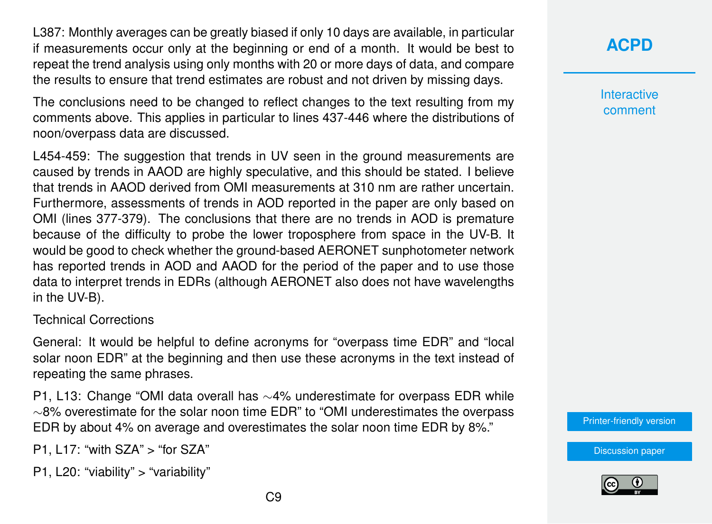L387: Monthly averages can be greatly biased if only 10 days are available, in particular if measurements occur only at the beginning or end of a month. It would be best to repeat the trend analysis using only months with 20 or more days of data, and compare the results to ensure that trend estimates are robust and not driven by missing days.

The conclusions need to be changed to reflect changes to the text resulting from my comments above. This applies in particular to lines 437-446 where the distributions of noon/overpass data are discussed.

L454-459: The suggestion that trends in UV seen in the ground measurements are caused by trends in AAOD are highly speculative, and this should be stated. I believe that trends in AAOD derived from OMI measurements at 310 nm are rather uncertain. Furthermore, assessments of trends in AOD reported in the paper are only based on OMI (lines 377-379). The conclusions that there are no trends in AOD is premature because of the difficulty to probe the lower troposphere from space in the UV-B. It would be good to check whether the ground-based AERONET sunphotometer network has reported trends in AOD and AAOD for the period of the paper and to use those data to interpret trends in EDRs (although AERONET also does not have wavelengths in the UV-B).

#### Technical Corrections

General: It would be helpful to define acronyms for "overpass time EDR" and "local solar noon EDR" at the beginning and then use these acronyms in the text instead of repeating the same phrases.

P1, L13: Change "OMI data overall has ∼4% underestimate for overpass EDR while ∼8% overestimate for the solar noon time EDR" to "OMI underestimates the overpass EDR by about 4% on average and overestimates the solar noon time EDR by 8%."

P1, L17: "with SZA" > "for SZA"

P1, L20: "viability" > "variability"

**Interactive** comment

[Printer-friendly version](https://www.atmos-chem-phys-discuss.net/acp-2018-720/acp-2018-720-RC1-print.pdf)



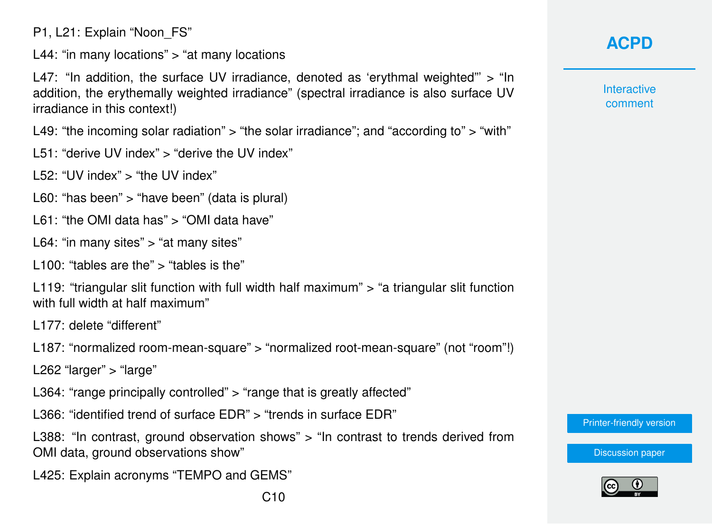P1, L21: Explain "Noon\_FS"

L44: "in many locations" > "at many locations

L47: "In addition, the surface UV irradiance, denoted as 'erythmal weighted" > "In addition, the erythemally weighted irradiance" (spectral irradiance is also surface UV irradiance in this context!)

L49: "the incoming solar radiation" > "the solar irradiance"; and "according to" > "with"

- L51: "derive UV index" > "derive the UV index"
- L52: "UV index" > "the UV index"
- L60: "has been" > "have been" (data is plural)
- L61: "the OMI data has" > "OMI data have"
- L64: "in many sites" > "at many sites"
- L100: "tables are the" > "tables is the"

L119: "triangular slit function with full width half maximum" > "a triangular slit function with full width at half maximum"

L177: delete "different"

L187: "normalized room-mean-square" > "normalized root-mean-square" (not "room"!)

L262 "larger" > "large"

L364: "range principally controlled" > "range that is greatly affected"

L366: "identified trend of surface EDR" > "trends in surface EDR"

L388: "In contrast, ground observation shows" > "In contrast to trends derived from OMI data, ground observations show"

L425: Explain acronyms "TEMPO and GEMS"

**Interactive** comment

[Printer-friendly version](https://www.atmos-chem-phys-discuss.net/acp-2018-720/acp-2018-720-RC1-print.pdf)